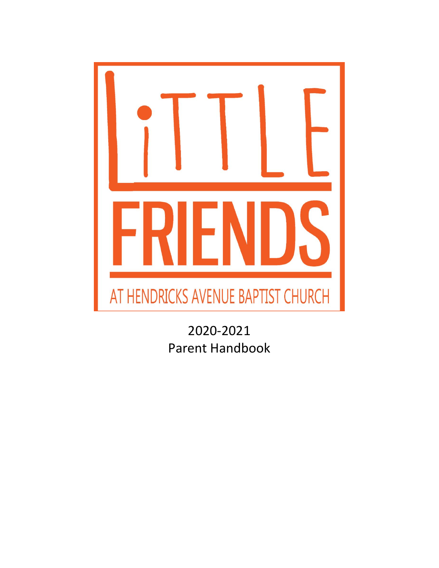

2020-2021 Parent Handbook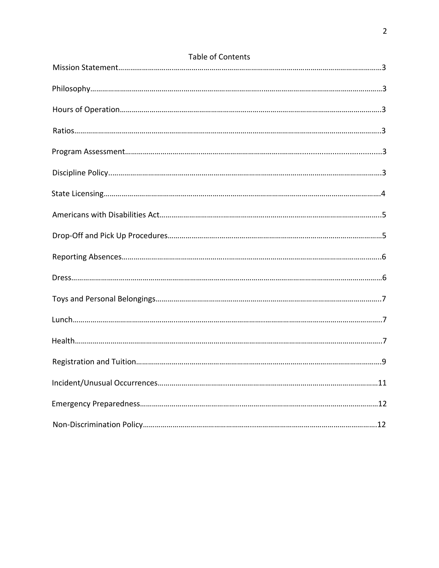| <b>Table of Contents</b> |
|--------------------------|
|                          |
|                          |
|                          |
|                          |
|                          |
|                          |
|                          |
|                          |
|                          |
|                          |
|                          |
|                          |
|                          |
|                          |
|                          |
|                          |
|                          |
|                          |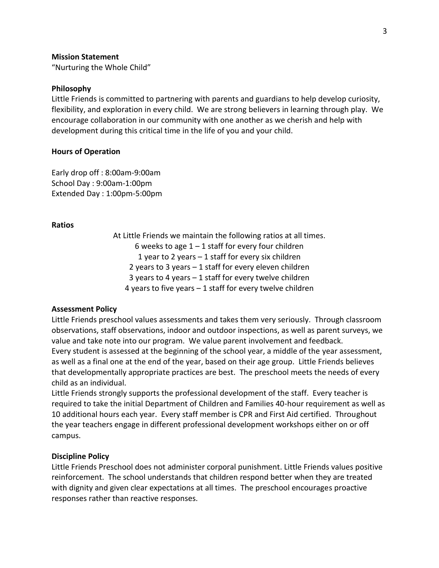#### **Mission Statement**

"Nurturing the Whole Child"

#### **Philosophy**

Little Friends is committed to partnering with parents and guardians to help develop curiosity, flexibility, and exploration in every child. We are strong believers in learning through play. We encourage collaboration in our community with one another as we cherish and help with development during this critical time in the life of you and your child.

#### **Hours of Operation**

Early drop off : 8:00am-9:00am School Day : 9:00am-1:00pm Extended Day : 1:00pm-5:00pm

#### **Ratios**

At Little Friends we maintain the following ratios at all times. 6 weeks to age  $1 - 1$  staff for every four children 1 year to 2 years – 1 staff for every six children 2 years to 3 years – 1 staff for every eleven children 3 years to 4 years – 1 staff for every twelve children 4 years to five years – 1 staff for every twelve children

#### **Assessment Policy**

Little Friends preschool values assessments and takes them very seriously. Through classroom observations, staff observations, indoor and outdoor inspections, as well as parent surveys, we value and take note into our program. We value parent involvement and feedback. Every student is assessed at the beginning of the school year, a middle of the year assessment, as well as a final one at the end of the year, based on their age group. Little Friends believes that developmentally appropriate practices are best. The preschool meets the needs of every child as an individual.

Little Friends strongly supports the professional development of the staff. Every teacher is required to take the initial Department of Children and Families 40-hour requirement as well as 10 additional hours each year. Every staff member is CPR and First Aid certified. Throughout the year teachers engage in different professional development workshops either on or off campus.

#### **Discipline Policy**

Little Friends Preschool does not administer corporal punishment. Little Friends values positive reinforcement. The school understands that children respond better when they are treated with dignity and given clear expectations at all times. The preschool encourages proactive responses rather than reactive responses.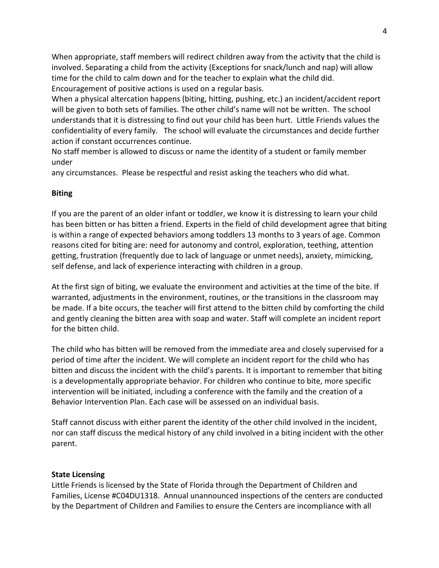When appropriate, staff members will redirect children away from the activity that the child is involved. Separating a child from the activity (Exceptions for snack/lunch and nap) will allow time for the child to calm down and for the teacher to explain what the child did. Encouragement of positive actions is used on a regular basis.

When a physical altercation happens (biting, hitting, pushing, etc.) an incident/accident report will be given to both sets of families. The other child's name will not be written. The school understands that it is distressing to find out your child has been hurt. Little Friends values the confidentiality of every family. The school will evaluate the circumstances and decide further action if constant occurrences continue.

No staff member is allowed to discuss or name the identity of a student or family member under

any circumstances. Please be respectful and resist asking the teachers who did what.

# **Biting**

If you are the parent of an older infant or toddler, we know it is distressing to learn your child has been bitten or has bitten a friend. Experts in the field of child development agree that biting is within a range of expected behaviors among toddlers 13 months to 3 years of age. Common reasons cited for biting are: need for autonomy and control, exploration, teething, attention getting, frustration (frequently due to lack of language or unmet needs), anxiety, mimicking, self defense, and lack of experience interacting with children in a group.

At the first sign of biting, we evaluate the environment and activities at the time of the bite. If warranted, adjustments in the environment, routines, or the transitions in the classroom may be made. If a bite occurs, the teacher will first attend to the bitten child by comforting the child and gently cleaning the bitten area with soap and water. Staff will complete an incident report for the bitten child.

The child who has bitten will be removed from the immediate area and closely supervised for a period of time after the incident. We will complete an incident report for the child who has bitten and discuss the incident with the child's parents. It is important to remember that biting is a developmentally appropriate behavior. For children who continue to bite, more specific intervention will be initiated, including a conference with the family and the creation of a Behavior Intervention Plan. Each case will be assessed on an individual basis.

Staff cannot discuss with either parent the identity of the other child involved in the incident, nor can staff discuss the medical history of any child involved in a biting incident with the other parent.

## **State Licensing**

Little Friends is licensed by the State of Florida through the Department of Children and Families, License #C04DU1318. Annual unannounced inspections of the centers are conducted by the Department of Children and Families to ensure the Centers are incompliance with all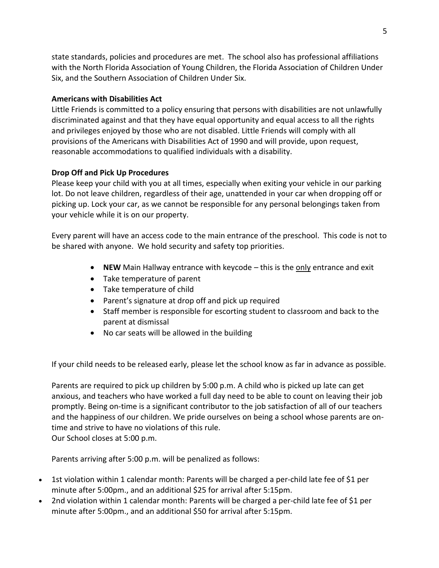state standards, policies and procedures are met. The school also has professional affiliations with the North Florida Association of Young Children, the Florida Association of Children Under Six, and the Southern Association of Children Under Six.

# **Americans with Disabilities Act**

Little Friends is committed to a policy ensuring that persons with disabilities are not unlawfully discriminated against and that they have equal opportunity and equal access to all the rights and privileges enjoyed by those who are not disabled. Little Friends will comply with all provisions of the Americans with Disabilities Act of 1990 and will provide, upon request, reasonable accommodations to qualified individuals with a disability.

# **Drop Off and Pick Up Procedures**

Please keep your child with you at all times, especially when exiting your vehicle in our parking lot. Do not leave children, regardless of their age, unattended in your car when dropping off or picking up. Lock your car, as we cannot be responsible for any personal belongings taken from your vehicle while it is on our property.

Every parent will have an access code to the main entrance of the preschool. This code is not to be shared with anyone. We hold security and safety top priorities.

- **NEW** Main Hallway entrance with keycode this is the only entrance and exit
- Take temperature of parent
- Take temperature of child
- Parent's signature at drop off and pick up required
- Staff member is responsible for escorting student to classroom and back to the parent at dismissal
- No car seats will be allowed in the building

If your child needs to be released early, please let the school know as far in advance as possible.

Parents are required to pick up children by 5:00 p.m. A child who is picked up late can get anxious, and teachers who have worked a full day need to be able to count on leaving their job promptly. Being on-time is a significant contributor to the job satisfaction of all of our teachers and the happiness of our children. We pride ourselves on being a school whose parents are ontime and strive to have no violations of this rule. Our School closes at 5:00 p.m.

Parents arriving after 5:00 p.m. will be penalized as follows:

- 1st violation within 1 calendar month: Parents will be charged a per-child late fee of \$1 per minute after 5:00pm., and an additional \$25 for arrival after 5:15pm.
- 2nd violation within 1 calendar month: Parents will be charged a per-child late fee of \$1 per minute after 5:00pm., and an additional \$50 for arrival after 5:15pm.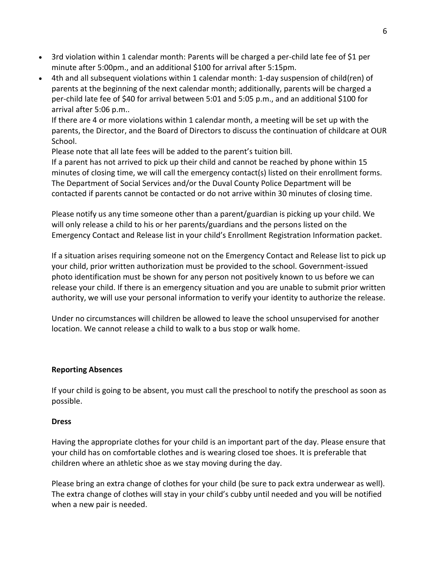- 3rd violation within 1 calendar month: Parents will be charged a per-child late fee of \$1 per minute after 5:00pm., and an additional \$100 for arrival after 5:15pm.
- 4th and all subsequent violations within 1 calendar month: 1-day suspension of child(ren) of parents at the beginning of the next calendar month; additionally, parents will be charged a per-child late fee of \$40 for arrival between 5:01 and 5:05 p.m., and an additional \$100 for arrival after 5:06 p.m..

If there are 4 or more violations within 1 calendar month, a meeting will be set up with the parents, the Director, and the Board of Directors to discuss the continuation of childcare at OUR School.

Please note that all late fees will be added to the parent's tuition bill.

If a parent has not arrived to pick up their child and cannot be reached by phone within 15 minutes of closing time, we will call the emergency contact(s) listed on their enrollment forms. The Department of Social Services and/or the Duval County Police Department will be contacted if parents cannot be contacted or do not arrive within 30 minutes of closing time.

Please notify us any time someone other than a parent/guardian is picking up your child. We will only release a child to his or her parents/guardians and the persons listed on the Emergency Contact and Release list in your child's Enrollment Registration Information packet.

If a situation arises requiring someone not on the Emergency Contact and Release list to pick up your child, prior written authorization must be provided to the school. Government-issued photo identification must be shown for any person not positively known to us before we can release your child. If there is an emergency situation and you are unable to submit prior written authority, we will use your personal information to verify your identity to authorize the release.

Under no circumstances will children be allowed to leave the school unsupervised for another location. We cannot release a child to walk to a bus stop or walk home.

## **Reporting Absences**

If your child is going to be absent, you must call the preschool to notify the preschool as soon as possible.

#### **Dress**

Having the appropriate clothes for your child is an important part of the day. Please ensure that your child has on comfortable clothes and is wearing closed toe shoes. It is preferable that children where an athletic shoe as we stay moving during the day.

Please bring an extra change of clothes for your child (be sure to pack extra underwear as well). The extra change of clothes will stay in your child's cubby until needed and you will be notified when a new pair is needed.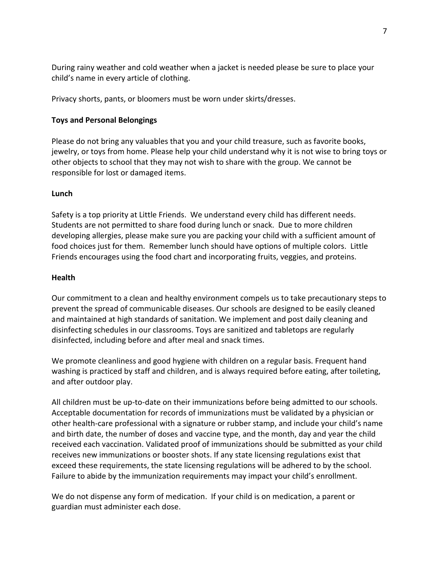During rainy weather and cold weather when a jacket is needed please be sure to place your child's name in every article of clothing.

Privacy shorts, pants, or bloomers must be worn under skirts/dresses.

# **Toys and Personal Belongings**

Please do not bring any valuables that you and your child treasure, such as favorite books, jewelry, or toys from home. Please help your child understand why it is not wise to bring toys or other objects to school that they may not wish to share with the group. We cannot be responsible for lost or damaged items.

# **Lunch**

Safety is a top priority at Little Friends. We understand every child has different needs. Students are not permitted to share food during lunch or snack. Due to more children developing allergies, please make sure you are packing your child with a sufficient amount of food choices just for them. Remember lunch should have options of multiple colors. Little Friends encourages using the food chart and incorporating fruits, veggies, and proteins.

## **Health**

Our commitment to a clean and healthy environment compels us to take precautionary steps to prevent the spread of communicable diseases. Our schools are designed to be easily cleaned and maintained at high standards of sanitation. We implement and post daily cleaning and disinfecting schedules in our classrooms. Toys are sanitized and tabletops are regularly disinfected, including before and after meal and snack times.

We promote cleanliness and good hygiene with children on a regular basis. Frequent hand washing is practiced by staff and children, and is always required before eating, after toileting, and after outdoor play.

All children must be up-to-date on their immunizations before being admitted to our schools. Acceptable documentation for records of immunizations must be validated by a physician or other health-care professional with a signature or rubber stamp, and include your child's name and birth date, the number of doses and vaccine type, and the month, day and year the child received each vaccination. Validated proof of immunizations should be submitted as your child receives new immunizations or booster shots. If any state licensing regulations exist that exceed these requirements, the state licensing regulations will be adhered to by the school. Failure to abide by the immunization requirements may impact your child's enrollment.

We do not dispense any form of medication. If your child is on medication, a parent or guardian must administer each dose.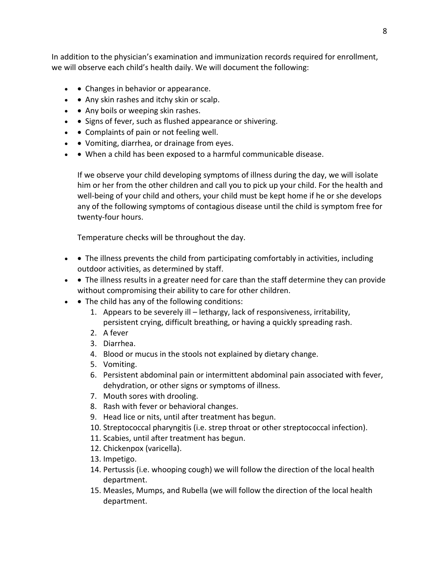In addition to the physician's examination and immunization records required for enrollment, we will observe each child's health daily. We will document the following:

- $\bullet$   $\bullet$  Changes in behavior or appearance.
- $\bullet$   $\bullet$  Any skin rashes and itchy skin or scalp.
- $\bullet$   $\bullet$  Any boils or weeping skin rashes.
- • Signs of fever, such as flushed appearance or shivering.
- • Complaints of pain or not feeling well.
- • Vomiting, diarrhea, or drainage from eyes.
- • When a child has been exposed to a harmful communicable disease.

If we observe your child developing symptoms of illness during the day, we will isolate him or her from the other children and call you to pick up your child. For the health and well-being of your child and others, your child must be kept home if he or she develops any of the following symptoms of contagious disease until the child is symptom free for twenty-four hours.

Temperature checks will be throughout the day.

- The illness prevents the child from participating comfortably in activities, including outdoor activities, as determined by staff.
- • The illness results in a greater need for care than the staff determine they can provide without compromising their ability to care for other children.
- $\bullet$   $\bullet$  The child has any of the following conditions:
	- 1. Appears to be severely ill lethargy, lack of responsiveness, irritability, persistent crying, difficult breathing, or having a quickly spreading rash.
	- 2. A fever
	- 3. Diarrhea.
	- 4. Blood or mucus in the stools not explained by dietary change.
	- 5. Vomiting.
	- 6. Persistent abdominal pain or intermittent abdominal pain associated with fever, dehydration, or other signs or symptoms of illness.
	- 7. Mouth sores with drooling.
	- 8. Rash with fever or behavioral changes.
	- 9. Head lice or nits, until after treatment has begun.
	- 10. Streptococcal pharyngitis (i.e. strep throat or other streptococcal infection).
	- 11. Scabies, until after treatment has begun.
	- 12. Chickenpox (varicella).
	- 13. Impetigo.
	- 14. Pertussis (i.e. whooping cough) we will follow the direction of the local health department.
	- 15. Measles, Mumps, and Rubella (we will follow the direction of the local health department.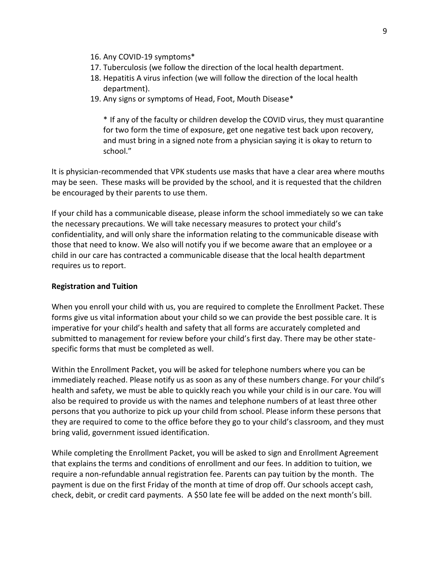- 16. Any COVID-19 symptoms\*
- 17. Tuberculosis (we follow the direction of the local health department.
- 18. Hepatitis A virus infection (we will follow the direction of the local health department).
- 19. Any signs or symptoms of Head, Foot, Mouth Disease\*

\* If any of the faculty or children develop the COVID virus, they must quarantine for two form the time of exposure, get one negative test back upon recovery, and must bring in a signed note from a physician saying it is okay to return to school."

It is physician-recommended that VPK students use masks that have a clear area where mouths may be seen. These masks will be provided by the school, and it is requested that the children be encouraged by their parents to use them.

If your child has a communicable disease, please inform the school immediately so we can take the necessary precautions. We will take necessary measures to protect your child's confidentiality, and will only share the information relating to the communicable disease with those that need to know. We also will notify you if we become aware that an employee or a child in our care has contracted a communicable disease that the local health department requires us to report.

## **Registration and Tuition**

When you enroll your child with us, you are required to complete the Enrollment Packet. These forms give us vital information about your child so we can provide the best possible care. It is imperative for your child's health and safety that all forms are accurately completed and submitted to management for review before your child's first day. There may be other statespecific forms that must be completed as well.

Within the Enrollment Packet, you will be asked for telephone numbers where you can be immediately reached. Please notify us as soon as any of these numbers change. For your child's health and safety, we must be able to quickly reach you while your child is in our care. You will also be required to provide us with the names and telephone numbers of at least three other persons that you authorize to pick up your child from school. Please inform these persons that they are required to come to the office before they go to your child's classroom, and they must bring valid, government issued identification.

While completing the Enrollment Packet, you will be asked to sign and Enrollment Agreement that explains the terms and conditions of enrollment and our fees. In addition to tuition, we require a non-refundable annual registration fee. Parents can pay tuition by the month. The payment is due on the first Friday of the month at time of drop off. Our schools accept cash, check, debit, or credit card payments. A \$50 late fee will be added on the next month's bill.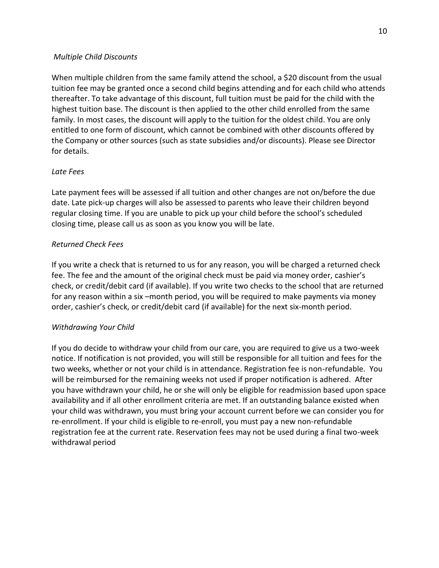## *Multiple Child Discounts*

When multiple children from the same family attend the school, a \$20 discount from the usual tuition fee may be granted once a second child begins attending and for each child who attends thereafter. To take advantage of this discount, full tuition must be paid for the child with the highest tuition base. The discount is then applied to the other child enrolled from the same family. In most cases, the discount will apply to the tuition for the oldest child. You are only entitled to one form of discount, which cannot be combined with other discounts offered by the Company or other sources (such as state subsidies and/or discounts). Please see Director for details.

# *Late Fees*

Late payment fees will be assessed if all tuition and other changes are not on/before the due date. Late pick-up charges will also be assessed to parents who leave their children beyond regular closing time. If you are unable to pick up your child before the school's scheduled closing time, please call us as soon as you know you will be late.

# *Returned Check Fees*

If you write a check that is returned to us for any reason, you will be charged a returned check fee. The fee and the amount of the original check must be paid via money order, cashier's check, or credit/debit card (if available). If you write two checks to the school that are returned for any reason within a six –month period, you will be required to make payments via money order, cashier's check, or credit/debit card (if available) for the next six-month period.

# *Withdrawing Your Child*

If you do decide to withdraw your child from our care, you are required to give us a two-week notice. If notification is not provided, you will still be responsible for all tuition and fees for the two weeks, whether or not your child is in attendance. Registration fee is non-refundable. You will be reimbursed for the remaining weeks not used if proper notification is adhered. After you have withdrawn your child, he or she will only be eligible for readmission based upon space availability and if all other enrollment criteria are met. If an outstanding balance existed when your child was withdrawn, you must bring your account current before we can consider you for re-enrollment. If your child is eligible to re-enroll, you must pay a new non-refundable registration fee at the current rate. Reservation fees may not be used during a final two-week withdrawal period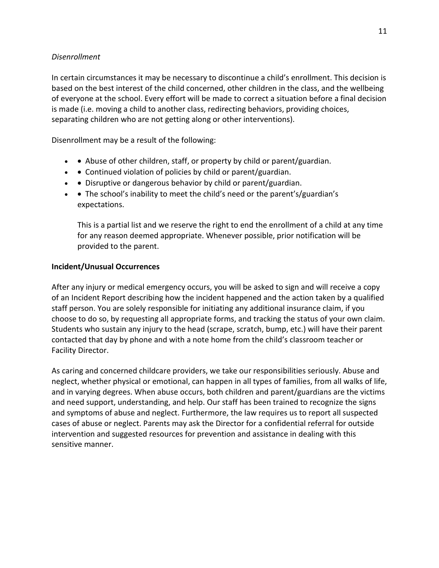## *Disenrollment*

In certain circumstances it may be necessary to discontinue a child's enrollment. This decision is based on the best interest of the child concerned, other children in the class, and the wellbeing of everyone at the school. Every effort will be made to correct a situation before a final decision is made (i.e. moving a child to another class, redirecting behaviors, providing choices, separating children who are not getting along or other interventions).

Disenrollment may be a result of the following:

- • Abuse of other children, staff, or property by child or parent/guardian.
- • Continued violation of policies by child or parent/guardian.
- $\bullet$   $\bullet$  Disruptive or dangerous behavior by child or parent/guardian.
- The school's inability to meet the child's need or the parent's/guardian's expectations.

This is a partial list and we reserve the right to end the enrollment of a child at any time for any reason deemed appropriate. Whenever possible, prior notification will be provided to the parent.

# **Incident/Unusual Occurrences**

After any injury or medical emergency occurs, you will be asked to sign and will receive a copy of an Incident Report describing how the incident happened and the action taken by a qualified staff person. You are solely responsible for initiating any additional insurance claim, if you choose to do so, by requesting all appropriate forms, and tracking the status of your own claim. Students who sustain any injury to the head (scrape, scratch, bump, etc.) will have their parent contacted that day by phone and with a note home from the child's classroom teacher or Facility Director.

As caring and concerned childcare providers, we take our responsibilities seriously. Abuse and neglect, whether physical or emotional, can happen in all types of families, from all walks of life, and in varying degrees. When abuse occurs, both children and parent/guardians are the victims and need support, understanding, and help. Our staff has been trained to recognize the signs and symptoms of abuse and neglect. Furthermore, the law requires us to report all suspected cases of abuse or neglect. Parents may ask the Director for a confidential referral for outside intervention and suggested resources for prevention and assistance in dealing with this sensitive manner.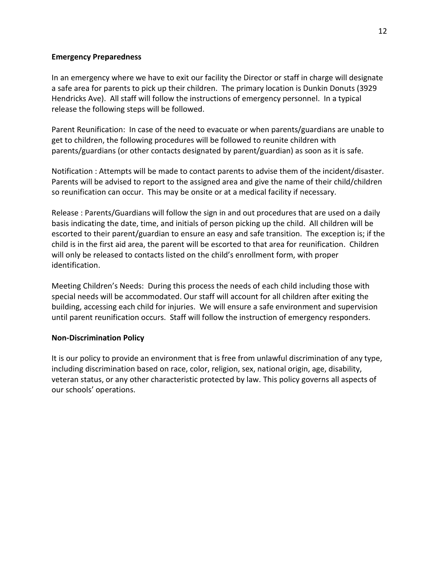## **Emergency Preparedness**

In an emergency where we have to exit our facility the Director or staff in charge will designate a safe area for parents to pick up their children. The primary location is Dunkin Donuts (3929 Hendricks Ave). All staff will follow the instructions of emergency personnel. In a typical release the following steps will be followed.

Parent Reunification: In case of the need to evacuate or when parents/guardians are unable to get to children, the following procedures will be followed to reunite children with parents/guardians (or other contacts designated by parent/guardian) as soon as it is safe.

Notification : Attempts will be made to contact parents to advise them of the incident/disaster. Parents will be advised to report to the assigned area and give the name of their child/children so reunification can occur. This may be onsite or at a medical facility if necessary.

Release : Parents/Guardians will follow the sign in and out procedures that are used on a daily basis indicating the date, time, and initials of person picking up the child. All children will be escorted to their parent/guardian to ensure an easy and safe transition. The exception is; if the child is in the first aid area, the parent will be escorted to that area for reunification. Children will only be released to contacts listed on the child's enrollment form, with proper identification.

Meeting Children's Needs: During this process the needs of each child including those with special needs will be accommodated. Our staff will account for all children after exiting the building, accessing each child for injuries. We will ensure a safe environment and supervision until parent reunification occurs. Staff will follow the instruction of emergency responders.

## **Non-Discrimination Policy**

It is our policy to provide an environment that is free from unlawful discrimination of any type, including discrimination based on race, color, religion, sex, national origin, age, disability, veteran status, or any other characteristic protected by law. This policy governs all aspects of our schools' operations.